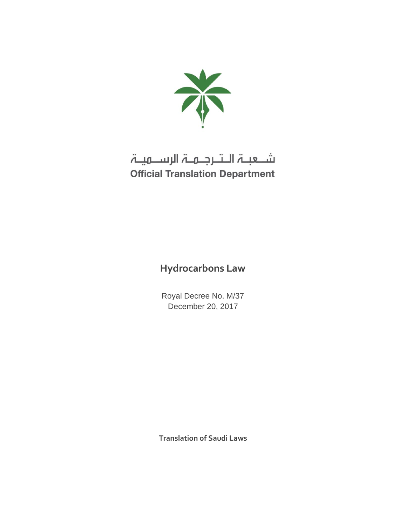

# شــعبــۃ الــتــرجــمــۃ الرســـمیــۃ **Official Translation Department**

# **Hydrocarbons Law**

Royal Decree No. M/37 December 20, 2017

**Translation of Saudi Laws**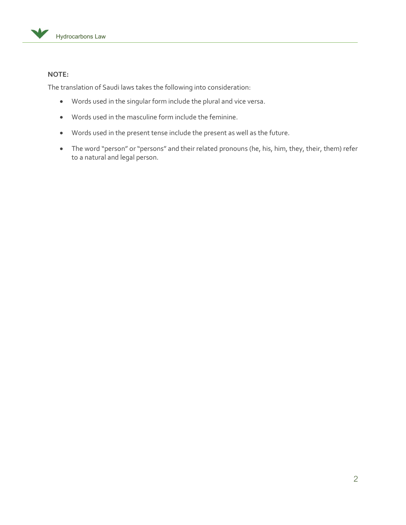

#### **NOTE:**

The translation of Saudi laws takes the following into consideration:

- Words used in the singular form include the plural and vice versa.
- Words used in the masculine form include the feminine.
- Words used in the present tense include the present as well as the future.
- The word "person" or "persons" and their related pronouns (he, his, him, they, their, them) refer to a natural and legal person.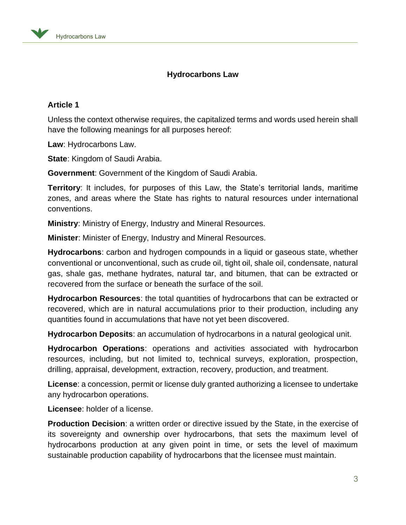# **Hydrocarbons Law**

# **Article 1**

Unless the context otherwise requires, the capitalized terms and words used herein shall have the following meanings for all purposes hereof:

**Law**: Hydrocarbons Law.

**State**: Kingdom of Saudi Arabia.

**Government**: Government of the Kingdom of Saudi Arabia.

**Territory**: It includes, for purposes of this Law, the State's territorial lands, maritime zones, and areas where the State has rights to natural resources under international conventions.

**Ministry**: Ministry of Energy, Industry and Mineral Resources.

**Minister**: Minister of Energy, Industry and Mineral Resources.

**Hydrocarbons**: carbon and hydrogen compounds in a liquid or gaseous state, whether conventional or unconventional, such as crude oil, tight oil, shale oil, condensate, natural gas, shale gas, methane hydrates, natural tar, and bitumen, that can be extracted or recovered from the surface or beneath the surface of the soil.

**Hydrocarbon Resources**: the total quantities of hydrocarbons that can be extracted or recovered, which are in natural accumulations prior to their production, including any quantities found in accumulations that have not yet been discovered.

**Hydrocarbon Deposits**: an accumulation of hydrocarbons in a natural geological unit.

**Hydrocarbon Operations**: operations and activities associated with hydrocarbon resources, including, but not limited to, technical surveys, exploration, prospection, drilling, appraisal, development, extraction, recovery, production, and treatment.

**License**: a concession, permit or license duly granted authorizing a licensee to undertake any hydrocarbon operations.

**Licensee**: holder of a license.

**Production Decision**: a written order or directive issued by the State, in the exercise of its sovereignty and ownership over hydrocarbons, that sets the maximum level of hydrocarbons production at any given point in time, or sets the level of maximum sustainable production capability of hydrocarbons that the licensee must maintain.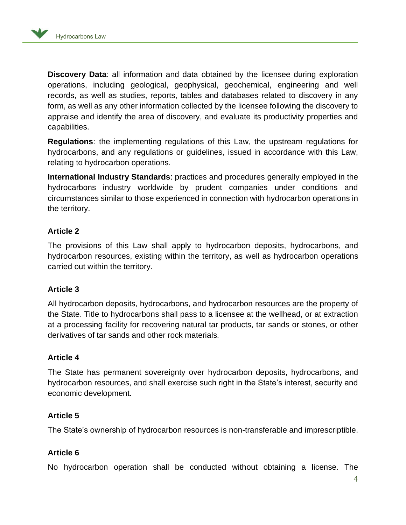

**Discovery Data**: all information and data obtained by the licensee during exploration operations, including geological, geophysical, geochemical, engineering and well records, as well as studies, reports, tables and databases related to discovery in any form, as well as any other information collected by the licensee following the discovery to appraise and identify the area of discovery, and evaluate its productivity properties and capabilities.

**Regulations**: the implementing regulations of this Law, the upstream regulations for hydrocarbons, and any regulations or guidelines, issued in accordance with this Law, relating to hydrocarbon operations.

**International Industry Standards**: practices and procedures generally employed in the hydrocarbons industry worldwide by prudent companies under conditions and circumstances similar to those experienced in connection with hydrocarbon operations in the territory.

#### **Article 2**

The provisions of this Law shall apply to hydrocarbon deposits, hydrocarbons, and hydrocarbon resources, existing within the territory, as well as hydrocarbon operations carried out within the territory.

#### **Article 3**

All hydrocarbon deposits, hydrocarbons, and hydrocarbon resources are the property of the State. Title to hydrocarbons shall pass to a licensee at the wellhead, or at extraction at a processing facility for recovering natural tar products, tar sands or stones, or other derivatives of tar sands and other rock materials.

#### **Article 4**

The State has permanent sovereignty over hydrocarbon deposits, hydrocarbons, and hydrocarbon resources, and shall exercise such right in the State's interest, security and economic development.

#### **Article 5**

The State's ownership of hydrocarbon resources is non-transferable and imprescriptible.

#### **Article 6**

No hydrocarbon operation shall be conducted without obtaining a license. The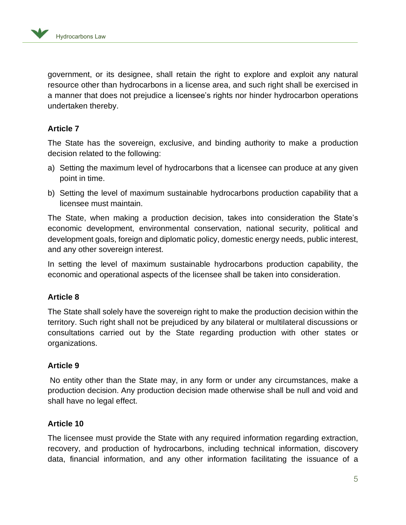

government, or its designee, shall retain the right to explore and exploit any natural resource other than hydrocarbons in a license area, and such right shall be exercised in a manner that does not prejudice a licensee's rights nor hinder hydrocarbon operations undertaken thereby.

# **Article 7**

The State has the sovereign, exclusive, and binding authority to make a production decision related to the following:

- a) Setting the maximum level of hydrocarbons that a licensee can produce at any given point in time.
- b) Setting the level of maximum sustainable hydrocarbons production capability that a licensee must maintain.

The State, when making a production decision, takes into consideration the State's economic development, environmental conservation, national security, political and development goals, foreign and diplomatic policy, domestic energy needs, public interest, and any other sovereign interest.

In setting the level of maximum sustainable hydrocarbons production capability, the economic and operational aspects of the licensee shall be taken into consideration.

#### **Article 8**

The State shall solely have the sovereign right to make the production decision within the territory. Such right shall not be prejudiced by any bilateral or multilateral discussions or consultations carried out by the State regarding production with other states or organizations.

#### **Article 9**

No entity other than the State may, in any form or under any circumstances, make a production decision. Any production decision made otherwise shall be null and void and shall have no legal effect.

#### **Article 10**

The licensee must provide the State with any required information regarding extraction, recovery, and production of hydrocarbons, including technical information, discovery data, financial information, and any other information facilitating the issuance of a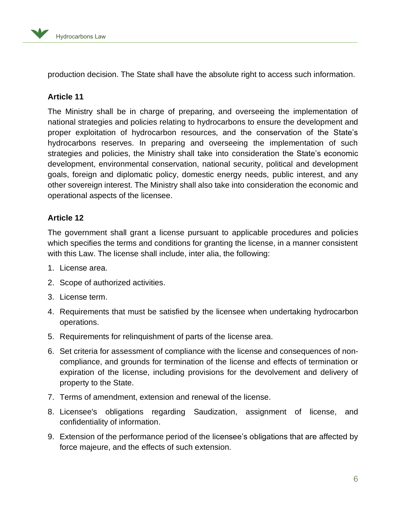

production decision. The State shall have the absolute right to access such information.

#### **Article 11**

The Ministry shall be in charge of preparing, and overseeing the implementation of national strategies and policies relating to hydrocarbons to ensure the development and proper exploitation of hydrocarbon resources, and the conservation of the State's hydrocarbons reserves. In preparing and overseeing the implementation of such strategies and policies, the Ministry shall take into consideration the State's economic development, environmental conservation, national security, political and development goals, foreign and diplomatic policy, domestic energy needs, public interest, and any other sovereign interest. The Ministry shall also take into consideration the economic and operational aspects of the licensee.

#### **Article 12**

The government shall grant a license pursuant to applicable procedures and policies which specifies the terms and conditions for granting the license, in a manner consistent with this Law. The license shall include, inter alia, the following:

- 1. License area.
- 2. Scope of authorized activities.
- 3. License term.
- 4. Requirements that must be satisfied by the licensee when undertaking hydrocarbon operations.
- 5. Requirements for relinquishment of parts of the license area.
- 6. Set criteria for assessment of compliance with the license and consequences of noncompliance, and grounds for termination of the license and effects of termination or expiration of the license, including provisions for the devolvement and delivery of property to the State.
- 7. Terms of amendment, extension and renewal of the license.
- 8. Licensee's obligations regarding Saudization, assignment of license, and confidentiality of information.
- 9. Extension of the performance period of the licensee's obligations that are affected by force majeure, and the effects of such extension.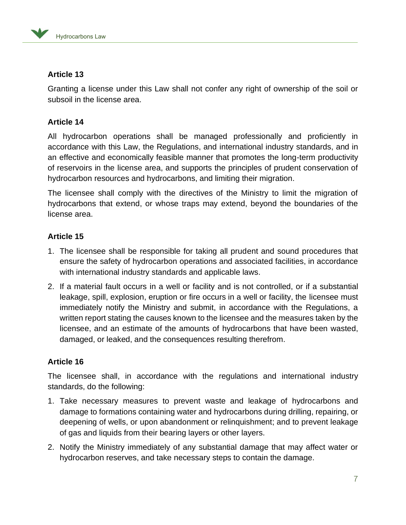

Granting a license under this Law shall not confer any right of ownership of the soil or subsoil in the license area.

#### **Article 14**

All hydrocarbon operations shall be managed professionally and proficiently in accordance with this Law, the Regulations, and international industry standards, and in an effective and economically feasible manner that promotes the long-term productivity of reservoirs in the license area, and supports the principles of prudent conservation of hydrocarbon resources and hydrocarbons, and limiting their migration.

The licensee shall comply with the directives of the Ministry to limit the migration of hydrocarbons that extend, or whose traps may extend, beyond the boundaries of the license area.

#### **Article 15**

- 1. The licensee shall be responsible for taking all prudent and sound procedures that ensure the safety of hydrocarbon operations and associated facilities, in accordance with international industry standards and applicable laws.
- 2. If a material fault occurs in a well or facility and is not controlled, or if a substantial leakage, spill, explosion, eruption or fire occurs in a well or facility, the licensee must immediately notify the Ministry and submit, in accordance with the Regulations, a written report stating the causes known to the licensee and the measures taken by the licensee, and an estimate of the amounts of hydrocarbons that have been wasted, damaged, or leaked, and the consequences resulting therefrom.

#### **Article 16**

The licensee shall, in accordance with the regulations and international industry standards, do the following:

- 1. Take necessary measures to prevent waste and leakage of hydrocarbons and damage to formations containing water and hydrocarbons during drilling, repairing, or deepening of wells, or upon abandonment or relinquishment; and to prevent leakage of gas and liquids from their bearing layers or other layers.
- 2. Notify the Ministry immediately of any substantial damage that may affect water or hydrocarbon reserves, and take necessary steps to contain the damage.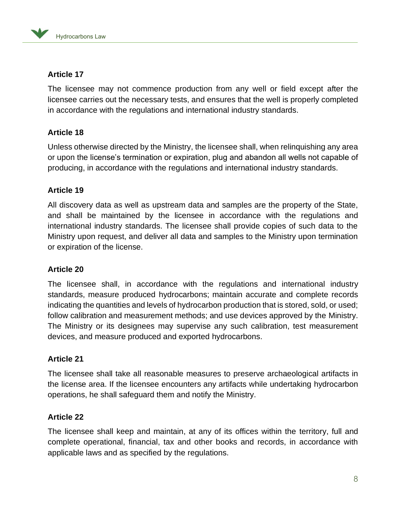

The licensee may not commence production from any well or field except after the licensee carries out the necessary tests, and ensures that the well is properly completed in accordance with the regulations and international industry standards.

# **Article 18**

Unless otherwise directed by the Ministry, the licensee shall, when relinquishing any area or upon the license's termination or expiration, plug and abandon all wells not capable of producing, in accordance with the regulations and international industry standards.

#### **Article 19**

All discovery data as well as upstream data and samples are the property of the State, and shall be maintained by the licensee in accordance with the regulations and international industry standards. The licensee shall provide copies of such data to the Ministry upon request, and deliver all data and samples to the Ministry upon termination or expiration of the license.

#### **Article 20**

The licensee shall, in accordance with the regulations and international industry standards, measure produced hydrocarbons; maintain accurate and complete records indicating the quantities and levels of hydrocarbon production that is stored, sold, or used; follow calibration and measurement methods; and use devices approved by the Ministry. The Ministry or its designees may supervise any such calibration, test measurement devices, and measure produced and exported hydrocarbons.

#### **Article 21**

The licensee shall take all reasonable measures to preserve archaeological artifacts in the license area. If the licensee encounters any artifacts while undertaking hydrocarbon operations, he shall safeguard them and notify the Ministry.

#### **Article 22**

The licensee shall keep and maintain, at any of its offices within the territory, full and complete operational, financial, tax and other books and records, in accordance with applicable laws and as specified by the regulations.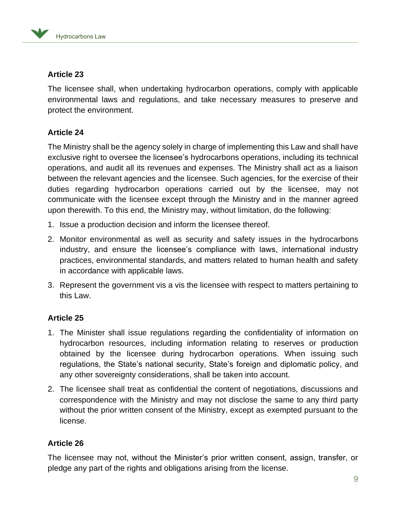

The licensee shall, when undertaking hydrocarbon operations, comply with applicable environmental laws and regulations, and take necessary measures to preserve and protect the environment.

# **Article 24**

The Ministry shall be the agency solely in charge of implementing this Law and shall have exclusive right to oversee the licensee's hydrocarbons operations, including its technical operations, and audit all its revenues and expenses. The Ministry shall act as a liaison between the relevant agencies and the licensee. Such agencies, for the exercise of their duties regarding hydrocarbon operations carried out by the licensee, may not communicate with the licensee except through the Ministry and in the manner agreed upon therewith. To this end, the Ministry may, without limitation, do the following:

- 1. Issue a production decision and inform the licensee thereof.
- 2. Monitor environmental as well as security and safety issues in the hydrocarbons industry, and ensure the licensee's compliance with laws, international industry practices, environmental standards, and matters related to human health and safety in accordance with applicable laws.
- 3. Represent the government vis a vis the licensee with respect to matters pertaining to this Law.

#### **Article 25**

- 1. The Minister shall issue regulations regarding the confidentiality of information on hydrocarbon resources, including information relating to reserves or production obtained by the licensee during hydrocarbon operations. When issuing such regulations, the State's national security, State's foreign and diplomatic policy, and any other sovereignty considerations, shall be taken into account.
- 2. The licensee shall treat as confidential the content of negotiations, discussions and correspondence with the Ministry and may not disclose the same to any third party without the prior written consent of the Ministry, except as exempted pursuant to the license.

#### **Article 26**

The licensee may not, without the Minister's prior written consent, assign, transfer, or pledge any part of the rights and obligations arising from the license.